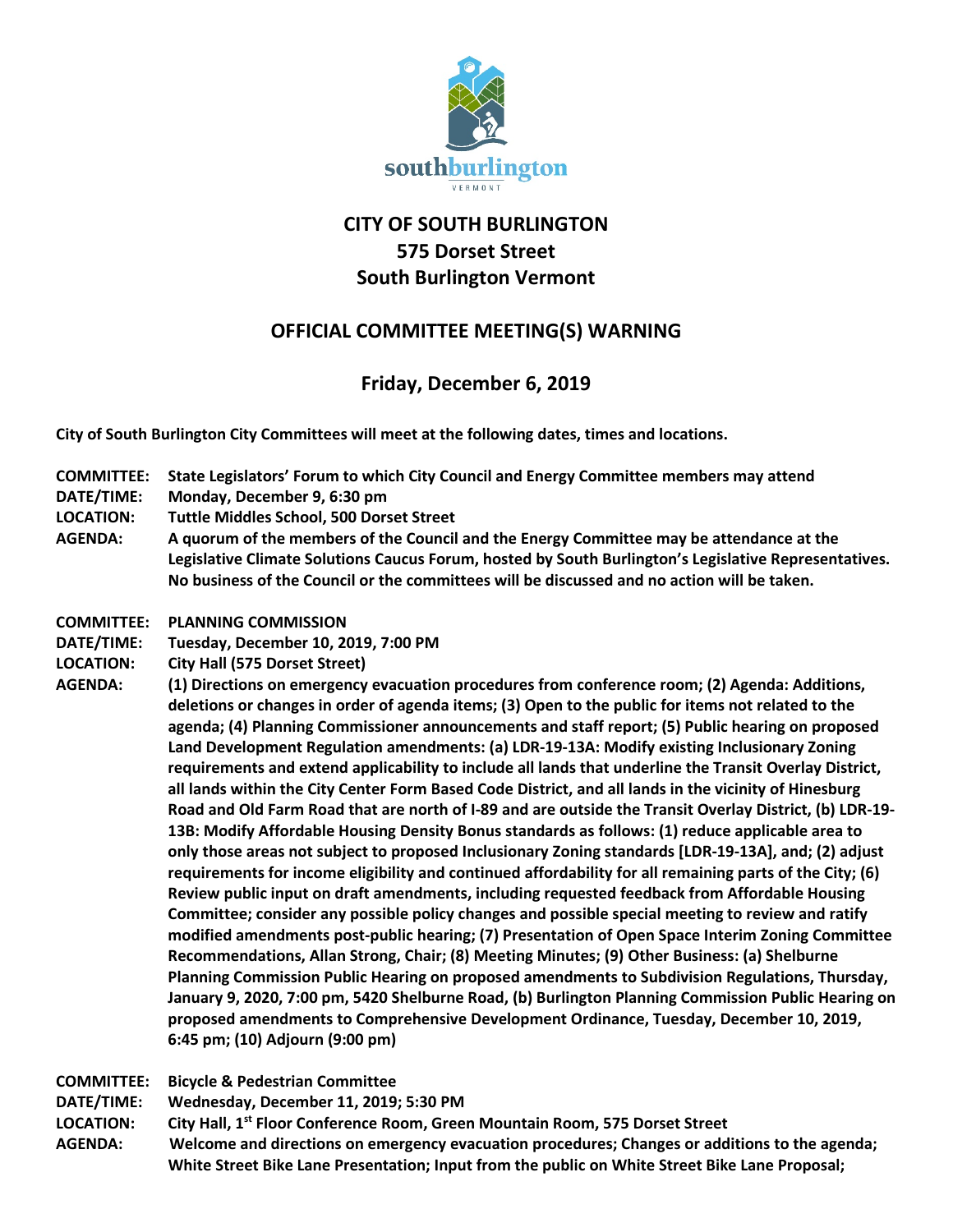

## **CITY OF SOUTH BURLINGTON 575 Dorset Street South Burlington Vermont**

## **OFFICIAL COMMITTEE MEETING(S) WARNING**

## **Friday, December 6, 2019**

**City of South Burlington City Committees will meet at the following dates, times and locations.** 

- **COMMITTEE: State Legislators' Forum to which City Council and Energy Committee members may attend**
- **DATE/TIME: Monday, December 9, 6:30 pm**
- **LOCATION: Tuttle Middles School, 500 Dorset Street**
- **AGENDA: A quorum of the members of the Council and the Energy Committee may be attendance at the Legislative Climate Solutions Caucus Forum, hosted by South Burlington's Legislative Representatives. No business of the Council or the committees will be discussed and no action will be taken.**
- **COMMITTEE: PLANNING COMMISSION**
- **DATE/TIME: Tuesday, December 10, 2019, 7:00 PM**
- **LOCATION: City Hall (575 Dorset Street)**
- **AGENDA: (1) Directions on emergency evacuation procedures from conference room; (2) Agenda: Additions, deletions or changes in order of agenda items; (3) Open to the public for items not related to the agenda; (4) Planning Commissioner announcements and staff report; (5) Public hearing on proposed Land Development Regulation amendments: (a) LDR-19-13A: Modify existing Inclusionary Zoning requirements and extend applicability to include all lands that underline the Transit Overlay District, all lands within the City Center Form Based Code District, and all lands in the vicinity of Hinesburg Road and Old Farm Road that are north of I-89 and are outside the Transit Overlay District, (b) LDR-19- 13B: Modify Affordable Housing Density Bonus standards as follows: (1) reduce applicable area to only those areas not subject to proposed Inclusionary Zoning standards [LDR-19-13A], and; (2) adjust requirements for income eligibility and continued affordability for all remaining parts of the City; (6) Review public input on draft amendments, including requested feedback from Affordable Housing Committee; consider any possible policy changes and possible special meeting to review and ratify modified amendments post-public hearing; (7) Presentation of Open Space Interim Zoning Committee Recommendations, Allan Strong, Chair; (8) Meeting Minutes; (9) Other Business: (a) Shelburne Planning Commission Public Hearing on proposed amendments to Subdivision Regulations, Thursday, January 9, 2020, 7:00 pm, 5420 Shelburne Road, (b) Burlington Planning Commission Public Hearing on proposed amendments to Comprehensive Development Ordinance, Tuesday, December 10, 2019, 6:45 pm; (10) Adjourn (9:00 pm)**
- **COMMITTEE: Bicycle & Pedestrian Committee**
- **DATE/TIME: Wednesday, December 11, 2019; 5:30 PM**
- **LOCATION: City Hall, 1st Floor Conference Room, Green Mountain Room, 575 Dorset Street**
- **AGENDA: Welcome and directions on emergency evacuation procedures; Changes or additions to the agenda; White Street Bike Lane Presentation; Input from the public on White Street Bike Lane Proposal;**